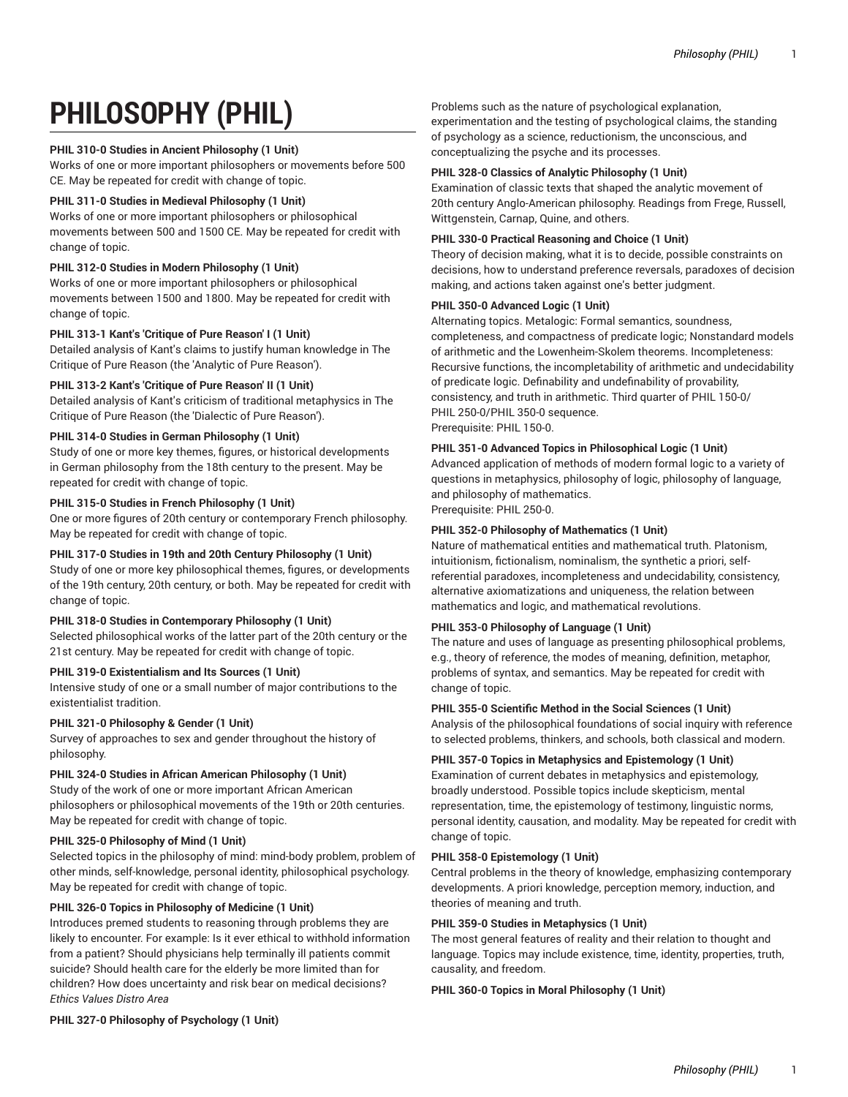# **PHILOSOPHY (PHIL)**

### **PHIL 310-0 Studies in Ancient Philosophy (1 Unit)**

Works of one or more important philosophers or movements before 500 CE. May be repeated for credit with change of topic.

### **PHIL 311-0 Studies in Medieval Philosophy (1 Unit)**

Works of one or more important philosophers or philosophical movements between 500 and 1500 CE. May be repeated for credit with change of topic.

### **PHIL 312-0 Studies in Modern Philosophy (1 Unit)**

Works of one or more important philosophers or philosophical movements between 1500 and 1800. May be repeated for credit with change of topic.

# **PHIL 313-1 Kant's 'Critique of Pure Reason' I (1 Unit)**

Detailed analysis of Kant's claims to justify human knowledge in The Critique of Pure Reason (the 'Analytic of Pure Reason').

# **PHIL 313-2 Kant's 'Critique of Pure Reason' II (1 Unit)**

Detailed analysis of Kant's criticism of traditional metaphysics in The Critique of Pure Reason (the 'Dialectic of Pure Reason').

# **PHIL 314-0 Studies in German Philosophy (1 Unit)**

Study of one or more key themes, figures, or historical developments in German philosophy from the 18th century to the present. May be repeated for credit with change of topic.

### **PHIL 315-0 Studies in French Philosophy (1 Unit)**

One or more figures of 20th century or contemporary French philosophy. May be repeated for credit with change of topic.

# **PHIL 317-0 Studies in 19th and 20th Century Philosophy (1 Unit)**

Study of one or more key philosophical themes, figures, or developments of the 19th century, 20th century, or both. May be repeated for credit with change of topic.

### **PHIL 318-0 Studies in Contemporary Philosophy (1 Unit)**

Selected philosophical works of the latter part of the 20th century or the 21st century. May be repeated for credit with change of topic.

# **PHIL 319-0 Existentialism and Its Sources (1 Unit)**

Intensive study of one or a small number of major contributions to the existentialist tradition.

### PHIL 321-0 Philosophy & Gender (1 Unit)

Survey of approaches to sex and gender throughout the history of philosophy.

# **PHIL 324-0 Studies in African American Philosophy (1 Unit)**

Study of the work of one or more important African American philosophers or philosophical movements of the 19th or 20th centuries. May be repeated for credit with change of topic.

### **PHIL 325-0 Philosophy of Mind (1 Unit)**

Selected topics in the philosophy of mind: mind-body problem, problem of other minds, self-knowledge, personal identity, philosophical psychology. May be repeated for credit with change of topic.

# **PHIL 326-0 Topics in Philosophy of Medicine (1 Unit)**

Introduces premed students to reasoning through problems they are likely to encounter. For example: Is it ever ethical to withhold information from a patient? Should physicians help terminally ill patients commit suicide? Should health care for the elderly be more limited than for children? How does uncertainty and risk bear on medical decisions? *Ethics Values Distro Area*

Problems such as the nature of psychological explanation, experimentation and the testing of psychological claims, the standing of psychology as a science, reductionism, the unconscious, and conceptualizing the psyche and its processes.

### **PHIL 328-0 Classics of Analytic Philosophy (1 Unit)**

Examination of classic texts that shaped the analytic movement of 20th century Anglo-American philosophy. Readings from Frege, Russell, Wittgenstein, Carnap, Quine, and others.

### **PHIL 330-0 Practical Reasoning and Choice (1 Unit)**

Theory of decision making, what it is to decide, possible constraints on decisions, how to understand preference reversals, paradoxes of decision making, and actions taken against one's better judgment.

### **PHIL 350-0 Advanced Logic (1 Unit)**

Alternating topics. Metalogic: Formal semantics, soundness, completeness, and compactness of predicate logic; Nonstandard models of arithmetic and the Lowenheim-Skolem theorems. Incompleteness: Recursive functions, the incompletability of arithmetic and undecidability of predicate logic. Definability and undefinability of provability, consistency, and truth in arithmetic. Third quarter of PHIL 150-0/ PHIL 250-0/PHIL 350-0 sequence. Prerequisite: PHIL 150-0.

### **PHIL 351-0 Advanced Topics in Philosophical Logic (1 Unit)**

Advanced application of methods of modern formal logic to a variety of questions in metaphysics, philosophy of logic, philosophy of language, and philosophy of mathematics.

Prerequisite: PHIL 250-0.

### **PHIL 352-0 Philosophy of Mathematics (1 Unit)**

Nature of mathematical entities and mathematical truth. Platonism, intuitionism, fictionalism, nominalism, the synthetic a priori, selfreferential paradoxes, incompleteness and undecidability, consistency, alternative axiomatizations and uniqueness, the relation between mathematics and logic, and mathematical revolutions.

### **PHIL 353-0 Philosophy of Language (1 Unit)**

The nature and uses of language as presenting philosophical problems, e.g., theory of reference, the modes of meaning, definition, metaphor, problems of syntax, and semantics. May be repeated for credit with change of topic.

### **PHIL 355-0 Scientific Method in the Social Sciences (1 Unit)**

Analysis of the philosophical foundations of social inquiry with reference to selected problems, thinkers, and schools, both classical and modern.

### **PHIL 357-0 Topics in Metaphysics and Epistemology (1 Unit)**

Examination of current debates in metaphysics and epistemology, broadly understood. Possible topics include skepticism, mental representation, time, the epistemology of testimony, linguistic norms, personal identity, causation, and modality. May be repeated for credit with change of topic.

# **PHIL 358-0 Epistemology (1 Unit)**

Central problems in the theory of knowledge, emphasizing contemporary developments. A priori knowledge, perception memory, induction, and theories of meaning and truth.

### **PHIL 359-0 Studies in Metaphysics (1 Unit)**

The most general features of reality and their relation to thought and language. Topics may include existence, time, identity, properties, truth, causality, and freedom.

### **PHIL 360-0 Topics in Moral Philosophy (1 Unit)**

**PHIL 327-0 Philosophy of Psychology (1 Unit)**